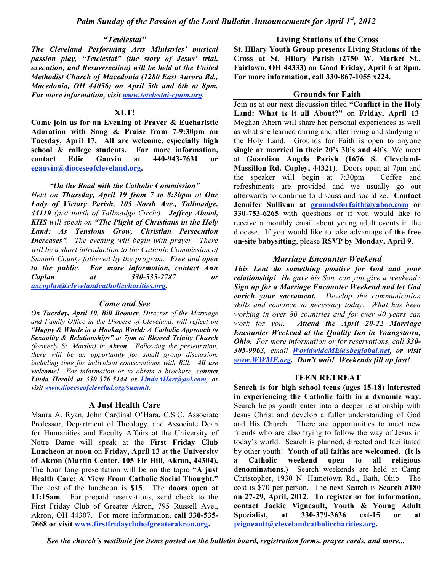### *"Tetélestai"*

*The Cleveland Performing Arts Ministries' musical passion play, "Tetélestai" (the story of Jesus' trial, execution, and Resuerrection) will be held at the United Methodist Church of Macedonia (1280 East Aurora Rd., Macedonia, OH 44056) on April 5th and 6th at 8pm. For more information, visit www.tetelestai-cpam.org.*

## **XLT!**

**Come join us for an Evening of Prayer & Eucharistic Adoration with Song & Praise from 7-9:30pm on Tuesday, April 17. All are welcome, especially high school & college students. For more information, contact Edie Gauvin at 440-943-7631 or egauvin@dioceseofcleveland.org.**

## *"On the Road with the Catholic Commission"*

*Held on Thursday, April 19 from 7 to 8:30pm at Our Lady of Victory Parish, 105 North Ave., Tallmadge, 44119 (just north of Tallmadge Circle). Jeffrey Abood, KHS will speak on "The Plight of Christians in the Holy Land: As Tensions Grow, Christian Persecution Increases". The evening will begin with prayer. There will be a short introduction to the Catholic Commission of Summit County followed by the program. Free and open to the public. For more information, contact Ann Coplan at 330-535-2787 or axcoplan@clevelandcatholiccharities.org.*

## *Come and See*

*On Tuesday, April 10, Bill Boomer, Director of the Marriage and Family Office in the Diocese of Cleveland, will reflect on "Happy & Whole in a Hookup World: A Catholic Approach to Sexuality & Relationships" at 7pm at Blessed Trinity Church (formerly St. Martha) in Akron. Following the presentation, there will be an opportunity for small group discussion, including time for individual conversations with Bill. All are welcome! For information or to obtain a brochure, contact Linda Herold at 330-376-5144 or LindaAHart@aol.com, or visit www.dioceseofclevelad.org/summit.*

# **A Just Health Care**

Maura A. Ryan, John Cardinal O'Hara, C.S.C. Associate Professor, Department of Theology, and Associate Dean for Humanities and Faculty Affairs at the University of Notre Dame will speak at the **First Friday Club Luncheon** at **noon** on **Friday, April 13** at **the University of Akron (Martin Center, 105 Fir Hill, Akron, 44304).** The hour long presentation will be on the topic **"A just Health Care: A View From Catholic Social Thought."** The cost of the luncheon is **\$15**. The **doors open at 11:15am**. For prepaid reservations, send check to the First Friday Club of Greater Akron, 795 Russell Ave., Akron, OH 44307. For more information, **call 330-535- 7668 or visit www.firstfridayclubofgreaterakron.org.**

### **Living Stations of the Cross**

**St. Hilary Youth Group presents Living Stations of the Cross at St. Hilary Parish (2750 W. Market St., Fairlawn, OH 44333) on Good Friday, April 6 at 8pm. For more information, call 330-867-1055 x224.**

## **Grounds for Faith**

Join us at our next discussion titled **"Conflict in the Holy Land: What is it all About?"** on **Friday, April 13**. Meghan Ahern will share her personal experiences as well as what she learned during and after living and studying in the Holy Land. Grounds for Faith is open to anyone **single or married in their 20's 30's and 40's**. We meet at **Guardian Angels Parish (1676 S. Cleveland-Massillon Rd. Copley, 44321)**. Doors open at 7pm and the speaker will begin at 7:30pm. Coffee and refreshments are provided and we usually go out afterwards to continue to discuss and socialize. **Contact Jennifer Sullivan at groundsforfaith@yahoo.com or 330-753-6265** with questions or if you would like to receive a monthly email about young adult events in the diocese. If you would like to take advantage of **the free on-site babysitting**, please **RSVP by Monday, April 9**.

## *Marriage Encounter Weekend*

*This Lent do something positive for God and your relationship! He gave his Son, can you give a weekend? Sign up for a Marriage Encounter Weekend and let God enrich your sacrament. Develop the communication skills and romance so necessary today. What has been working in over 80 countries and for over 40 years can work for you. Attend the April 20-22 Marriage Encounter Weekend at the Quality Inn in Youngstown, Ohio. For more information or for reservations, call 330- 305-9963, email WorldwideME@sbcglobal.net, or visit www.WWME.org. Don't wait! Weekends fill up fast!*

# **TEEN RETREAT**

**Search is for high school teens (ages 15-18) interested in experiencing the Catholic faith in a dynamic way.** Search helps youth enter into a deeper relationship with Jesus Christ and develop a fuller understanding of God and His Church. There are opportunities to meet new friends who are also trying to follow the way of Jesus in today's world. Search is planned, directed and facilitated by other youth! **Youth of all faiths are welcomed. (It is a Catholic weekend open to all religious denominations.)** Search weekends are held at Camp Christopher, 1930 N. Hametown Rd., Bath, Ohio. The cost is \$70 per person. The next Search is **Search #180 on 27-29, April, 2012**. **To register or for information, contact Jackie Vigneault, Youth & Young Adult Specialist, at 330-379-3636 ext-15 or at jvigneault@clevelandcatholiccharities.org.**

*See the church's vestibule for items posted on the bulletin board, registration forms, prayer cards, and more...*